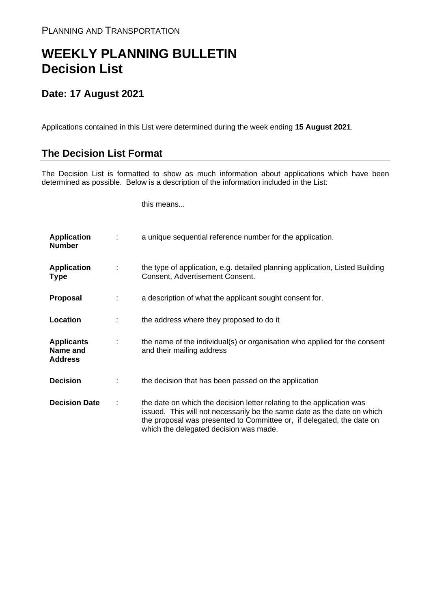## **WEEKLY PLANNING BULLETIN Decision List**

## **Date: 17 August 2021**

Applications contained in this List were determined during the week ending **15 August 2021**.

## **The Decision List Format**

The Decision List is formatted to show as much information about applications which have been determined as possible. Below is a description of the information included in the List:

this means...

| <b>Application</b><br><b>Number</b>             | a unique sequential reference number for the application.                                                                                                                                                                                                           |
|-------------------------------------------------|---------------------------------------------------------------------------------------------------------------------------------------------------------------------------------------------------------------------------------------------------------------------|
| <b>Application</b><br><b>Type</b>               | the type of application, e.g. detailed planning application, Listed Building<br>Consent, Advertisement Consent.                                                                                                                                                     |
| <b>Proposal</b>                                 | a description of what the applicant sought consent for.                                                                                                                                                                                                             |
| Location                                        | the address where they proposed to do it                                                                                                                                                                                                                            |
| <b>Applicants</b><br>Name and<br><b>Address</b> | the name of the individual(s) or organisation who applied for the consent<br>and their mailing address                                                                                                                                                              |
| <b>Decision</b>                                 | the decision that has been passed on the application                                                                                                                                                                                                                |
| <b>Decision Date</b>                            | the date on which the decision letter relating to the application was<br>issued. This will not necessarily be the same date as the date on which<br>the proposal was presented to Committee or, if delegated, the date on<br>which the delegated decision was made. |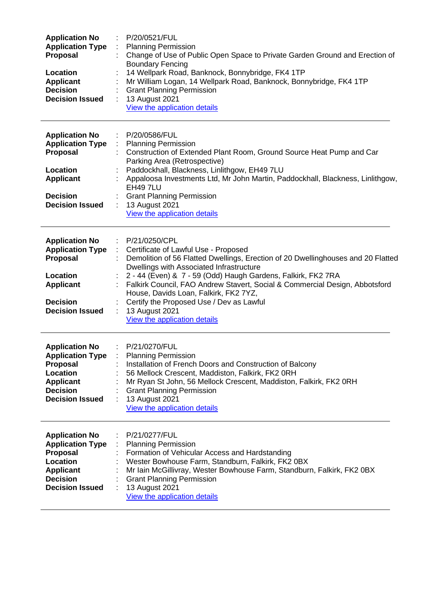| <b>Application No</b><br><b>Application Type</b><br>Proposal<br>Location<br><b>Applicant</b><br><b>Decision</b><br><b>Decision Issued</b>        | P/20/0521/FUL<br><b>Planning Permission</b><br>Change of Use of Public Open Space to Private Garden Ground and Erection of<br><b>Boundary Fencing</b><br>14 Wellpark Road, Banknock, Bonnybridge, FK4 1TP<br>Mr William Logan, 14 Wellpark Road, Banknock, Bonnybridge, FK4 1TP<br><b>Grant Planning Permission</b><br>13 August 2021<br>View the application details                                                                                                                 |
|--------------------------------------------------------------------------------------------------------------------------------------------------|---------------------------------------------------------------------------------------------------------------------------------------------------------------------------------------------------------------------------------------------------------------------------------------------------------------------------------------------------------------------------------------------------------------------------------------------------------------------------------------|
| <b>Application No</b><br><b>Application Type</b><br>Proposal<br>Location                                                                         | P/20/0586/FUL<br>÷<br><b>Planning Permission</b><br>$\mathbb{Z}^{\times}$<br>Construction of Extended Plant Room, Ground Source Heat Pump and Car<br>Parking Area (Retrospective)<br>Paddockhall, Blackness, Linlithgow, EH49 7LU                                                                                                                                                                                                                                                     |
| <b>Applicant</b><br><b>Decision</b><br><b>Decision Issued</b>                                                                                    | Appaloosa Investments Ltd, Mr John Martin, Paddockhall, Blackness, Linlithgow,<br><b>EH49 7LU</b><br><b>Grant Planning Permission</b><br>13 August 2021<br>÷<br>View the application details                                                                                                                                                                                                                                                                                          |
| <b>Application No</b><br><b>Application Type</b><br>Proposal<br>Location<br><b>Applicant</b><br><b>Decision</b><br><b>Decision Issued</b>        | P/21/0250/CPL<br>÷<br>Certificate of Lawful Use - Proposed<br>Demolition of 56 Flatted Dwellings, Erection of 20 Dwellinghouses and 20 Flatted<br>Dwellings with Associated Infrastructure<br>2 - 44 (Even) & 7 - 59 (Odd) Haugh Gardens, Falkirk, FK2 7RA<br>Falkirk Council, FAO Andrew Stavert, Social & Commercial Design, Abbotsford<br>House, Davids Loan, Falkirk, FK2 7YZ,<br>Certify the Proposed Use / Dev as Lawful<br>13 August 2021<br>÷<br>View the application details |
| <b>Application No</b><br><b>Application Type</b><br>Proposal<br>Location<br><b>Applicant</b><br><b>Decision</b><br><b>Decision Issued</b>        | P/21/0270/FUL<br><b>Planning Permission</b><br>Installation of French Doors and Construction of Balcony<br>56 Mellock Crescent, Maddiston, Falkirk, FK2 0RH<br>Mr Ryan St John, 56 Mellock Crescent, Maddiston, Falkirk, FK2 0RH<br><b>Grant Planning Permission</b><br>13 August 2021<br>View the application details                                                                                                                                                                |
| <b>Application No</b><br><b>Application Type</b><br><b>Proposal</b><br>Location<br><b>Applicant</b><br><b>Decision</b><br><b>Decision Issued</b> | P/21/0277/FUL<br>÷<br><b>Planning Permission</b><br>Formation of Vehicular Access and Hardstanding<br>Wester Bowhouse Farm, Standburn, Falkirk, FK2 0BX<br>Mr Iain McGillivray, Wester Bowhouse Farm, Standburn, Falkirk, FK2 0BX<br><b>Grant Planning Permission</b><br>13 August 2021<br>View the application details                                                                                                                                                               |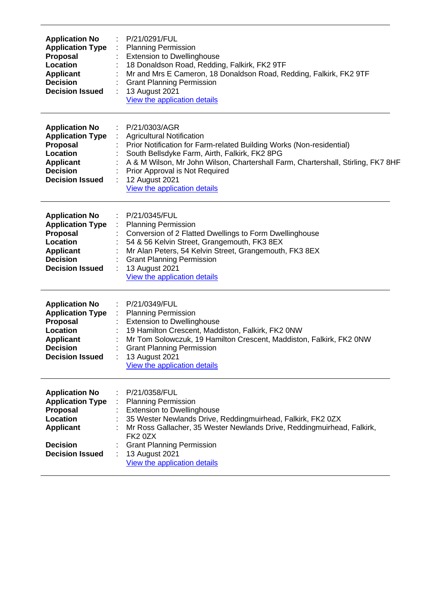| <b>Application No</b><br><b>Application Type</b><br><b>Proposal</b><br>Location<br><b>Applicant</b><br><b>Decision</b><br><b>Decision Issued</b> | P/21/0291/FUL<br><b>Planning Permission</b><br><b>Extension to Dwellinghouse</b><br>18 Donaldson Road, Redding, Falkirk, FK2 9TF<br>Mr and Mrs E Cameron, 18 Donaldson Road, Redding, Falkirk, FK2 9TF<br><b>Grant Planning Permission</b><br>13 August 2021<br>View the application details                                                       |
|--------------------------------------------------------------------------------------------------------------------------------------------------|----------------------------------------------------------------------------------------------------------------------------------------------------------------------------------------------------------------------------------------------------------------------------------------------------------------------------------------------------|
| <b>Application No</b><br><b>Application Type</b><br>Proposal<br>Location<br><b>Applicant</b><br><b>Decision</b><br><b>Decision Issued</b>        | P/21/0303/AGR<br><b>Agricultural Notification</b><br>Prior Notification for Farm-related Building Works (Non-residential)<br>South Bellsdyke Farm, Airth, Falkirk, FK2 8PG<br>A & M Wilson, Mr John Wilson, Chartershall Farm, Chartershall, Stirling, FK7 8HF<br>Prior Approval is Not Required<br>12 August 2021<br>View the application details |
| <b>Application No</b><br><b>Application Type</b><br><b>Proposal</b><br>Location<br><b>Applicant</b><br><b>Decision</b><br><b>Decision Issued</b> | P/21/0345/FUL<br><b>Planning Permission</b><br>Conversion of 2 Flatted Dwellings to Form Dwellinghouse<br>54 & 56 Kelvin Street, Grangemouth, FK3 8EX<br>Mr Alan Peters, 54 Kelvin Street, Grangemouth, FK3 8EX<br><b>Grant Planning Permission</b><br>13 August 2021<br>View the application details                                              |
| <b>Application No</b><br><b>Application Type</b><br><b>Proposal</b><br>Location<br><b>Applicant</b><br><b>Decision</b><br><b>Decision Issued</b> | P/21/0349/FUL<br><b>Planning Permission</b><br><b>Extension to Dwellinghouse</b><br>19 Hamilton Crescent, Maddiston, Falkirk, FK2 0NW<br>Mr Tom Solowczuk, 19 Hamilton Crescent, Maddiston, Falkirk, FK2 0NW<br><b>Grant Planning Permission</b><br><b>13 August 2021</b><br>View the application details                                          |
| <b>Application No</b><br><b>Application Type</b><br><b>Proposal</b><br>Location<br><b>Applicant</b><br><b>Decision</b><br><b>Decision Issued</b> | P/21/0358/FUL<br><b>Planning Permission</b><br><b>Extension to Dwellinghouse</b><br>35 Wester Newlands Drive, Reddingmuirhead, Falkirk, FK2 0ZX<br>Mr Ross Gallacher, 35 Wester Newlands Drive, Reddingmuirhead, Falkirk,<br>FK2 0ZX<br><b>Grant Planning Permission</b><br>13 August 2021<br>View the application details                         |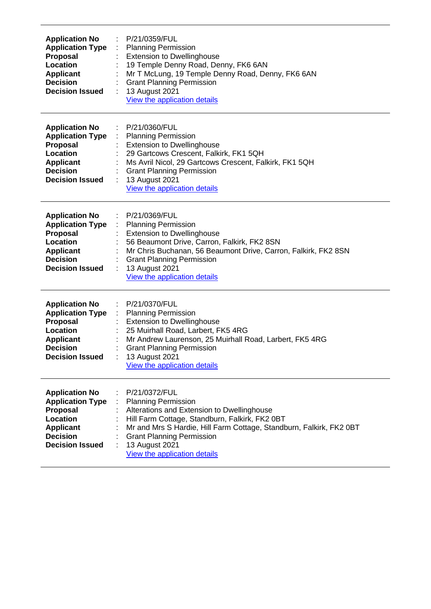| <b>Application No</b><br><b>Application Type</b><br><b>Proposal</b><br>Location<br><b>Applicant</b><br><b>Decision</b><br><b>Decision Issued</b> | P/21/0359/FUL<br><b>Planning Permission</b><br><b>Extension to Dwellinghouse</b><br>19 Temple Denny Road, Denny, FK6 6AN<br>Mr T McLung, 19 Temple Denny Road, Denny, FK6 6AN<br><b>Grant Planning Permission</b><br>13 August 2021<br>View the application details                                      |
|--------------------------------------------------------------------------------------------------------------------------------------------------|----------------------------------------------------------------------------------------------------------------------------------------------------------------------------------------------------------------------------------------------------------------------------------------------------------|
| <b>Application No</b><br><b>Application Type</b><br>Proposal<br>Location<br><b>Applicant</b><br><b>Decision</b><br><b>Decision Issued</b>        | P/21/0360/FUL<br>÷<br><b>Planning Permission</b><br><b>Extension to Dwellinghouse</b><br>29 Gartcows Crescent, Falkirk, FK1 5QH<br>Ms Avril Nicol, 29 Gartcows Crescent, Falkirk, FK1 5QH<br><b>Grant Planning Permission</b><br>13 August 2021<br>View the application details                          |
| <b>Application No</b><br><b>Application Type</b><br><b>Proposal</b><br>Location<br><b>Applicant</b><br><b>Decision</b><br><b>Decision Issued</b> | P/21/0369/FUL<br><b>Planning Permission</b><br><b>Extension to Dwellinghouse</b><br>56 Beaumont Drive, Carron, Falkirk, FK2 8SN<br>Mr Chris Buchanan, 56 Beaumont Drive, Carron, Falkirk, FK2 8SN<br><b>Grant Planning Permission</b><br>13 August 2021<br>View the application details                  |
| <b>Application No</b><br><b>Application Type</b><br><b>Proposal</b><br>Location<br><b>Applicant</b><br><b>Decision</b><br><b>Decision Issued</b> | P/21/0370/FUL<br><b>Planning Permission</b><br>÷<br><b>Extension to Dwellinghouse</b><br>25 Muirhall Road, Larbert, FK5 4RG<br>Mr Andrew Laurenson, 25 Muirhall Road, Larbert, FK5 4RG<br><b>Grant Planning Permission</b><br><b>13 August 2021</b><br>View the application details                      |
| <b>Application No</b><br><b>Application Type</b><br><b>Proposal</b><br>Location<br><b>Applicant</b><br><b>Decision</b><br><b>Decision Issued</b> | P/21/0372/FUL<br><b>Planning Permission</b><br>Alterations and Extension to Dwellinghouse<br>Hill Farm Cottage, Standburn, Falkirk, FK2 0BT<br>Mr and Mrs S Hardie, Hill Farm Cottage, Standburn, Falkirk, FK2 0BT<br><b>Grant Planning Permission</b><br>13 August 2021<br>View the application details |